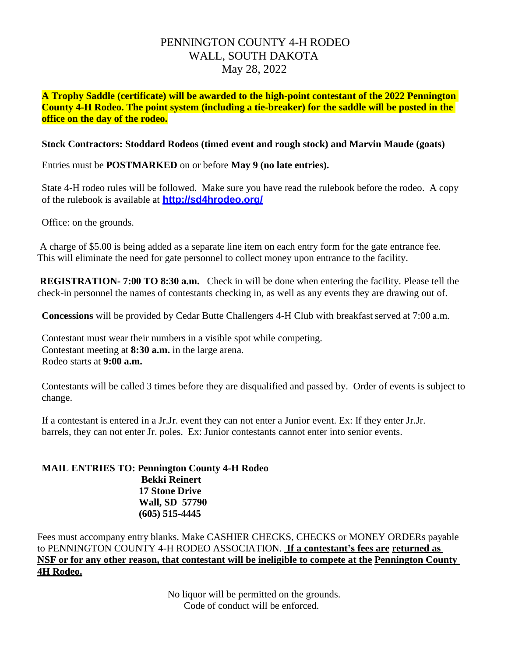## PENNINGTON COUNTY 4-H RODEO WALL, SOUTH DAKOTA May 28, 2022

**A Trophy Saddle (certificate) will be awarded to the high-point contestant of the 2022 Pennington County 4-H Rodeo. The point system (including a tie-breaker) for the saddle will be posted in the office on the day of the rodeo.**

## **Stock Contractors: Stoddard Rodeos (timed event and rough stock) and Marvin Maude (goats)**

Entries must be **POSTMARKED** on or before **May 9 (no late entries).**

State 4-H rodeo rules will be followed. Make sure you have read the rulebook before the rodeo. A copy of the rulebook is available at **<http://sd4hrodeo.org/>**

Office: on the grounds.

A charge of \$5.00 is being added as a separate line item on each entry form for the gate entrance fee. This will eliminate the need for gate personnel to collect money upon entrance to the facility.

**REGISTRATION- 7:00 TO 8:30 a.m.** Check in will be done when entering the facility. Please tell the check-in personnel the names of contestants checking in, as well as any events they are drawing out of.

**Concessions** will be provided by Cedar Butte Challengers 4-H Club with breakfast served at 7:00 a.m.

Contestant must wear their numbers in a visible spot while competing. Contestant meeting at **8:30 a.m.** in the large arena. Rodeo starts at **9:00 a.m.**

Contestants will be called 3 times before they are disqualified and passed by. Order of events is subject to change.

If a contestant is entered in a Jr.Jr. event they can not enter a Junior event. Ex: If they enter Jr.Jr. barrels, they can not enter Jr. poles. Ex: Junior contestants cannot enter into senior events.

**MAIL ENTRIES TO: Pennington County 4-H Rodeo Bekki Reinert 17 Stone Drive Wall, SD 57790 (605) 515-4445**

Fees must accompany entry blanks. Make CASHIER CHECKS, CHECKS or MONEY ORDERs payable to PENNINGTON COUNTY 4-H RODEO ASSOCIATION. **If a contestant's fees are returned as NSF or for any other reason, that contestant will be ineligible to compete at the Pennington County 4H Rodeo.**

> No liquor will be permitted on the grounds. Code of conduct will be enforced.